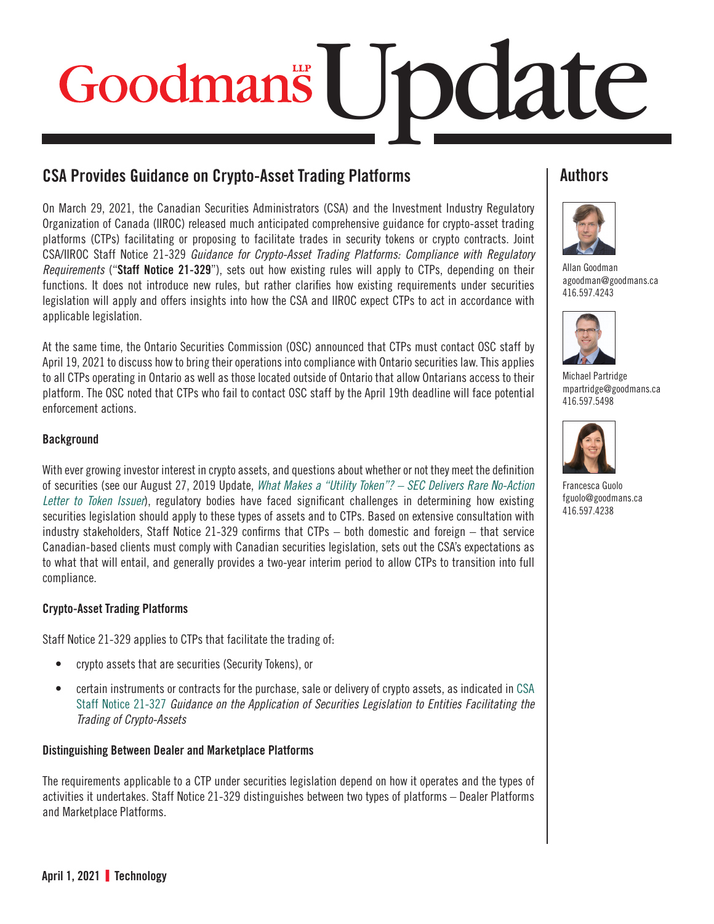# Update

## CSA Provides Guidance on Crypto-Asset Trading Platforms

On March 29, 2021, the Canadian Securities Administrators (CSA) and the Investment Industry Regulatory Organization of Canada (IIROC) released much anticipated comprehensive guidance for crypto-asset trading platforms (CTPs) facilitating or proposing to facilitate trades in security tokens or crypto contracts. Joint CSA/IIROC Staff Notice 21-329 *Guidance for Crypto-Asset Trading Platforms: Compliance with Regulatory Requirements* ("**Staff Notice 21-329**"), sets out how existing rules will apply to CTPs, depending on their functions. It does not introduce new rules, but rather clarifies how existing requirements under securities legislation will apply and offers insights into how the CSA and IIROC expect CTPs to act in accordance with applicable legislation.

At the same time, the Ontario Securities Commission (OSC) announced that CTPs must contact OSC staff by April 19, 2021 to discuss how to bring their operations into compliance with Ontario securities law. This applies to all CTPs operating in Ontario as well as those located outside of Ontario that allow Ontarians access to their platform. The OSC noted that CTPs who fail to contact OSC staff by the April 19th deadline will face potential enforcement actions.

#### **Background**

With ever growing investor interest in crypto assets, and questions about whether or not they meet the definition of securities (see our August 27, 2019 Update, *[What Makes a "Utility Token"? – SEC Delivers Rare No-Action](https://www.goodmans.ca/Doc/What_Makes_a__Utility_Token_____SEC_Delivers_Rare_No_Action_Letter_to_Token_Issuer)  [Letter to Token Issuer](https://www.goodmans.ca/Doc/What_Makes_a__Utility_Token_____SEC_Delivers_Rare_No_Action_Letter_to_Token_Issuer)*), regulatory bodies have faced significant challenges in determining how existing securities legislation should apply to these types of assets and to CTPs. Based on extensive consultation with industry stakeholders, Staff Notice 21-329 confirms that CTPs – both domestic and foreign – that service Canadian-based clients must comply with Canadian securities legislation, sets out the CSA's expectations as to what that will entail, and generally provides a two-year interim period to allow CTPs to transition into full compliance.

#### Crypto-Asset Trading Platforms

Staff Notice 21-329 applies to CTPs that facilitate the trading of:

- crypto assets that are securities (Security Tokens), or
- certain instruments or contracts for the purchase, sale or delivery of crypto assets, as indicated i[n CSA](https://www.osc.ca/sites/default/files/pdfs/irps/csa_20200116_21-327_trading-crypto-assets.pdf)  [Staff Notice 21-327](https://www.osc.ca/sites/default/files/pdfs/irps/csa_20200116_21-327_trading-crypto-assets.pdf) *Guidance on the Application of Securities Legislation to Entities Facilitating the Trading of Crypto-Assets*

#### Distinguishing Between Dealer and Marketplace Platforms

The requirements applicable to a CTP under securities legislation depend on how it operates and the types of activities it undertakes. Staff Notice 21-329 distinguishes between two types of platforms – Dealer Platforms and Marketplace Platforms.

### **Authors**



[Allan Goodman](https://www.goodmans.ca/People/Allan_Goodman) [agoodman@goodmans.ca](mailto:agoodman@goodmans.ca) 416.597.4243



[Michael Partridge](https://www.goodmans.ca/People/Michael_Partridge) [mpartridge@goodmans.ca](mailto:mpartridge@goodmans.ca) 416.597.5498



[Francesca Guolo](https://www.goodmans.ca/People/Francesca_Guolo) [fguolo@goodmans.ca](mailto:fguolo@goodmans.ca) 416.597.4238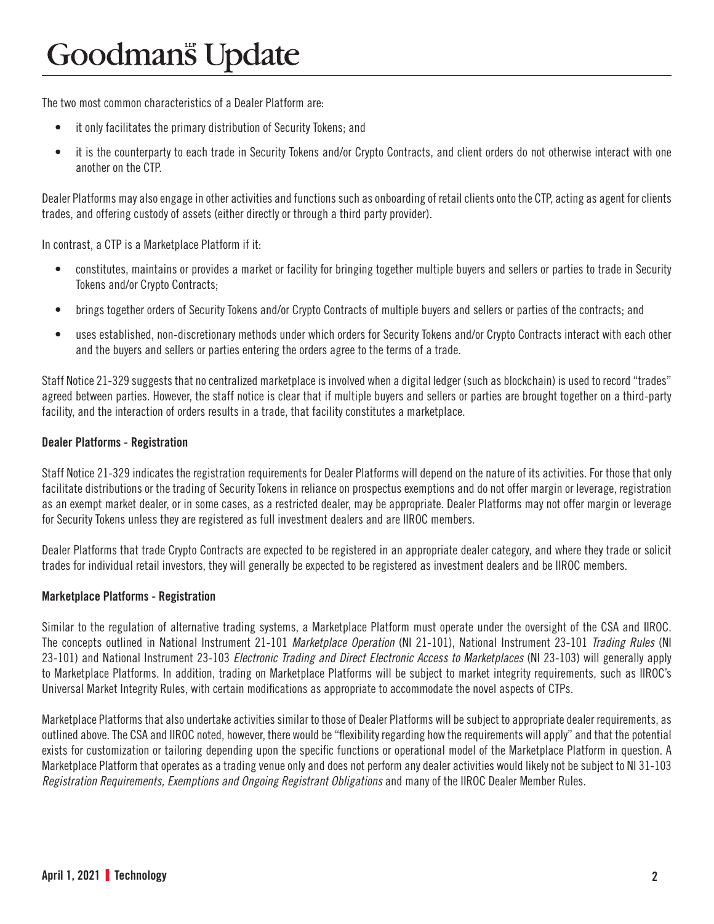The two most common characteristics of a Dealer Platform are:

- it only facilitates the primary distribution of Security Tokens; and
- it is the counterparty to each trade in Security Tokens and/or Crypto Contracts, and client orders do not otherwise interact with one another on the CTP.

Dealer Platforms may also engage in other activities and functions such as onboarding of retail clients onto the CTP, acting as agent for clients trades, and offering custody of assets (either directly or through a third party provider).

In contrast, a CTP is a Marketplace Platform if it:

- constitutes, maintains or provides a market or facility for bringing together multiple buyers and sellers or parties to trade in Security Tokens and/or Crypto Contracts;
- brings together orders of Security Tokens and/or Crypto Contracts of multiple buyers and sellers or parties of the contracts; and
- uses established, non-discretionary methods under which orders for Security Tokens and/or Crypto Contracts interact with each other and the buyers and sellers or parties entering the orders agree to the terms of a trade.

Staff Notice 21-329 suggests that no centralized marketplace is involved when a digital ledger (such as blockchain) is used to record "trades" agreed between parties. However, the staff notice is clear that if multiple buyers and sellers or parties are brought together on a third-party facility, and the interaction of orders results in a trade, that facility constitutes a marketplace.

#### Dealer Platforms - Registration

Staff Notice 21-329 indicates the registration requirements for Dealer Platforms will depend on the nature of its activities. For those that only facilitate distributions or the trading of Security Tokens in reliance on prospectus exemptions and do not offer margin or leverage, registration as an exempt market dealer, or in some cases, as a restricted dealer, may be appropriate. Dealer Platforms may not offer margin or leverage for Security Tokens unless they are registered as full investment dealers and are IIROC members.

Dealer Platforms that trade Crypto Contracts are expected to be registered in an appropriate dealer category, and where they trade or solicit trades for individual retail investors, they will generally be expected to be registered as investment dealers and be IIROC members.

#### Marketplace Platforms - Registration

Similar to the regulation of alternative trading systems, a Marketplace Platform must operate under the oversight of the CSA and IIROC. The concepts outlined in National Instrument 21-101 *Marketplace Operation* (NI 21-101), National Instrument 23-101 *Trading Rules* (NI 23-101) and National Instrument 23-103 *Electronic Trading and Direct Electronic Access to Marketplaces* (NI 23-103) will generally apply to Marketplace Platforms. In addition, trading on Marketplace Platforms will be subject to market integrity requirements, such as IIROC's Universal Market Integrity Rules, with certain modifications as appropriate to accommodate the novel aspects of CTPs.

Marketplace Platforms that also undertake activities similar to those of Dealer Platforms will be subject to appropriate dealer requirements, as outlined above. The CSA and IIROC noted, however, there would be "flexibility regarding how the requirements will apply" and that the potential exists for customization or tailoring depending upon the specific functions or operational model of the Marketplace Platform in question. A Marketplace Platform that operates as a trading venue only and does not perform any dealer activities would likely not be subject to NI 31-103 *Registration Requirements, Exemptions and Ongoing Registrant Obligations* and many of the IIROC Dealer Member Rules.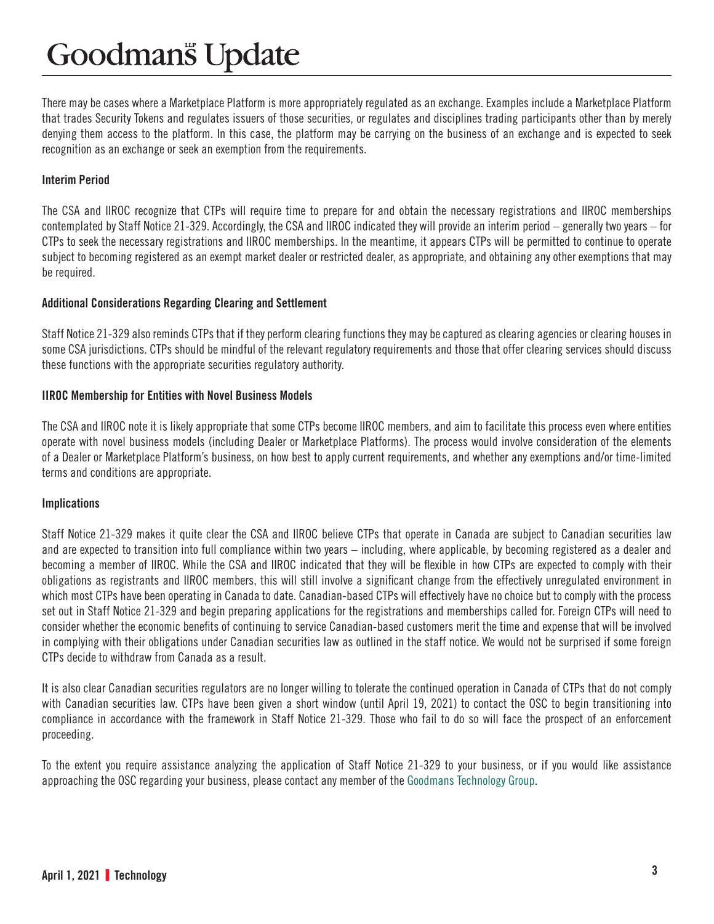# **Goodmans** Update

There may be cases where a Marketplace Platform is more appropriately regulated as an exchange. Examples include a Marketplace Platform that trades Security Tokens and regulates issuers of those securities, or regulates and disciplines trading participants other than by merely denying them access to the platform. In this case, the platform may be carrying on the business of an exchange and is expected to seek recognition as an exchange or seek an exemption from the requirements.

#### Interim Period

The CSA and IIROC recognize that CTPs will require time to prepare for and obtain the necessary registrations and IIROC memberships contemplated by Staff Notice 21-329. Accordingly, the CSA and IIROC indicated they will provide an interim period – generally two years – for CTPs to seek the necessary registrations and IIROC memberships. In the meantime, it appears CTPs will be permitted to continue to operate subject to becoming registered as an exempt market dealer or restricted dealer, as appropriate, and obtaining any other exemptions that may be required.

#### Additional Considerations Regarding Clearing and Settlement

Staff Notice 21-329 also reminds CTPs that if they perform clearing functions they may be captured as clearing agencies or clearing houses in some CSA jurisdictions. CTPs should be mindful of the relevant regulatory requirements and those that offer clearing services should discuss these functions with the appropriate securities regulatory authority.

#### IIROC Membership for Entities with Novel Business Models

The CSA and IIROC note it is likely appropriate that some CTPs become IIROC members, and aim to facilitate this process even where entities operate with novel business models (including Dealer or Marketplace Platforms). The process would involve consideration of the elements of a Dealer or Marketplace Platform's business, on how best to apply current requirements, and whether any exemptions and/or time-limited terms and conditions are appropriate.

#### **Implications**

Staff Notice 21-329 makes it quite clear the CSA and IIROC believe CTPs that operate in Canada are subject to Canadian securities law and are expected to transition into full compliance within two years – including, where applicable, by becoming registered as a dealer and becoming a member of IIROC. While the CSA and IIROC indicated that they will be flexible in how CTPs are expected to comply with their obligations as registrants and IIROC members, this will still involve a significant change from the effectively unregulated environment in which most CTPs have been operating in Canada to date. Canadian-based CTPs will effectively have no choice but to comply with the process set out in Staff Notice 21-329 and begin preparing applications for the registrations and memberships called for. Foreign CTPs will need to consider whether the economic benefits of continuing to service Canadian-based customers merit the time and expense that will be involved in complying with their obligations under Canadian securities law as outlined in the staff notice. We would not be surprised if some foreign CTPs decide to withdraw from Canada as a result.

It is also clear Canadian securities regulators are no longer willing to tolerate the continued operation in Canada of CTPs that do not comply with Canadian securities law. CTPs have been given a short window (until April 19, 2021) to contact the OSC to begin transitioning into compliance in accordance with the framework in Staff Notice 21-329. Those who fail to do so will face the prospect of an enforcement proceeding.

To the extent you require assistance analyzing the application of Staff Notice 21-329 to your business, or if you would like assistance approaching the OSC regarding your business, please contact any member of the [Goodmans Technology Group.](https://www.goodmans.ca/PracticeArea/Technology)